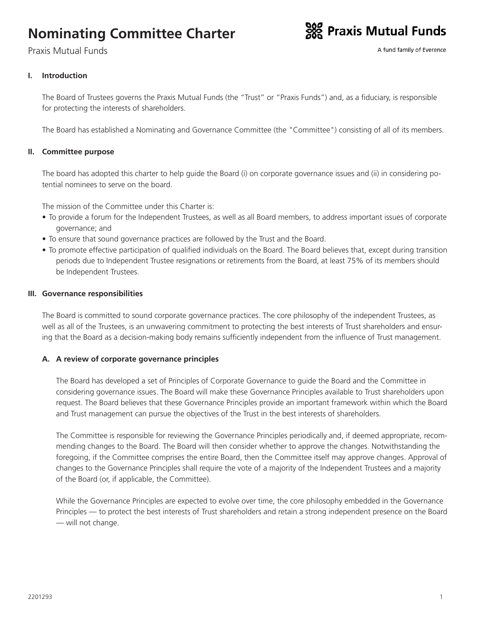# **Nominating Committee Charter**

Praxis Mutual Funds



A fund family of Everence

# **I. Introduction**

The Board of Trustees governs the Praxis Mutual Funds (the "Trust" or "Praxis Funds") and, as a fiduciary, is responsible for protecting the interests of shareholders.

The Board has established a Nominating and Governance Committee (the "Committee") consisting of all of its members.

#### **II. Committee purpose**

The board has adopted this charter to help guide the Board (i) on corporate governance issues and (ii) in considering potential nominees to serve on the board.

The mission of the Committee under this Charter is:

- To provide a forum for the Independent Trustees, as well as all Board members, to address important issues of corporate governance; and
- To ensure that sound governance practices are followed by the Trust and the Board.
- To promote effective participation of qualified individuals on the Board. The Board believes that, except during transition periods due to Independent Trustee resignations or retirements from the Board, at least 75% of its members should be Independent Trustees.

#### **III. Governance responsibilities**

The Board is committed to sound corporate governance practices. The core philosophy of the independent Trustees, as well as all of the Trustees, is an unwavering commitment to protecting the best interests of Trust shareholders and ensuring that the Board as a decision-making body remains sufficiently independent from the influence of Trust management.

#### **A. A review of corporate governance principles**

The Board has developed a set of Principles of Corporate Governance to guide the Board and the Committee in considering governance issues. The Board will make these Governance Principles available to Trust shareholders upon request. The Board believes that these Governance Principles provide an important framework within which the Board and Trust management can pursue the objectives of the Trust in the best interests of shareholders.

The Committee is responsible for reviewing the Governance Principles periodically and, if deemed appropriate, recommending changes to the Board. The Board will then consider whether to approve the changes. Notwithstanding the foregoing, if the Committee comprises the entire Board, then the Committee itself may approve changes. Approval of changes to the Governance Principles shall require the vote of a majority of the Independent Trustees and a majority of the Board (or, if applicable, the Committee).

While the Governance Principles are expected to evolve over time, the core philosophy embedded in the Governance Principles — to protect the best interests of Trust shareholders and retain a strong independent presence on the Board — will not change.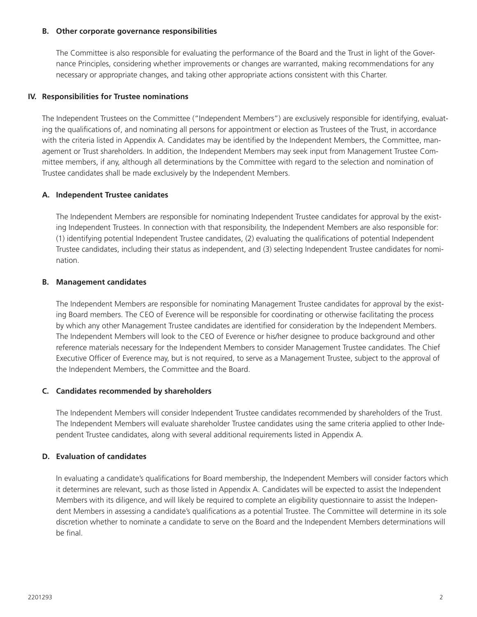#### **B. Other corporate governance responsibilities**

The Committee is also responsible for evaluating the performance of the Board and the Trust in light of the Governance Principles, considering whether improvements or changes are warranted, making recommendations for any necessary or appropriate changes, and taking other appropriate actions consistent with this Charter.

#### **IV. Responsibilities for Trustee nominations**

The Independent Trustees on the Committee ("Independent Members") are exclusively responsible for identifying, evaluating the qualifications of, and nominating all persons for appointment or election as Trustees of the Trust, in accordance with the criteria listed in Appendix A. Candidates may be identified by the Independent Members, the Committee, management or Trust shareholders. In addition, the Independent Members may seek input from Management Trustee Committee members, if any, although all determinations by the Committee with regard to the selection and nomination of Trustee candidates shall be made exclusively by the Independent Members.

#### **A. Independent Trustee canidates**

The Independent Members are responsible for nominating Independent Trustee candidates for approval by the existing Independent Trustees. In connection with that responsibility, the Independent Members are also responsible for: (1) identifying potential Independent Trustee candidates, (2) evaluating the qualifications of potential Independent Trustee candidates, including their status as independent, and (3) selecting Independent Trustee candidates for nomination.

#### **B. Management candidates**

The Independent Members are responsible for nominating Management Trustee candidates for approval by the existing Board members. The CEO of Everence will be responsible for coordinating or otherwise facilitating the process by which any other Management Trustee candidates are identified for consideration by the Independent Members. The Independent Members will look to the CEO of Everence or his/her designee to produce background and other reference materials necessary for the Independent Members to consider Management Trustee candidates. The Chief Executive Officer of Everence may, but is not required, to serve as a Management Trustee, subject to the approval of the Independent Members, the Committee and the Board.

#### **C. Candidates recommended by shareholders**

The Independent Members will consider Independent Trustee candidates recommended by shareholders of the Trust. The Independent Members will evaluate shareholder Trustee candidates using the same criteria applied to other Independent Trustee candidates, along with several additional requirements listed in Appendix A.

## **D. Evaluation of candidates**

In evaluating a candidate's qualifications for Board membership, the Independent Members will consider factors which it determines are relevant, such as those listed in Appendix A. Candidates will be expected to assist the Independent Members with its diligence, and will likely be required to complete an eligibility questionnaire to assist the Independent Members in assessing a candidate's qualifications as a potential Trustee. The Committee will determine in its sole discretion whether to nominate a candidate to serve on the Board and the Independent Members determinations will be final.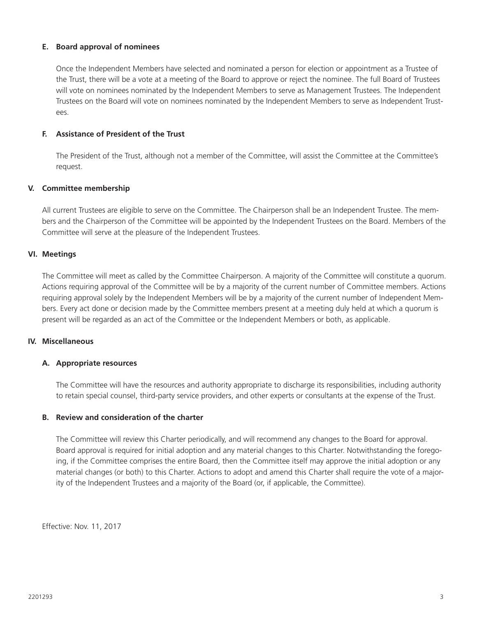#### **E. Board approval of nominees**

Once the Independent Members have selected and nominated a person for election or appointment as a Trustee of the Trust, there will be a vote at a meeting of the Board to approve or reject the nominee. The full Board of Trustees will vote on nominees nominated by the Independent Members to serve as Management Trustees. The Independent Trustees on the Board will vote on nominees nominated by the Independent Members to serve as Independent Trustees.

#### **F. Assistance of President of the Trust**

The President of the Trust, although not a member of the Committee, will assist the Committee at the Committee's request.

#### **V. Committee membership**

All current Trustees are eligible to serve on the Committee. The Chairperson shall be an Independent Trustee. The members and the Chairperson of the Committee will be appointed by the Independent Trustees on the Board. Members of the Committee will serve at the pleasure of the Independent Trustees.

#### **VI. Meetings**

The Committee will meet as called by the Committee Chairperson. A majority of the Committee will constitute a quorum. Actions requiring approval of the Committee will be by a majority of the current number of Committee members. Actions requiring approval solely by the Independent Members will be by a majority of the current number of Independent Members. Every act done or decision made by the Committee members present at a meeting duly held at which a quorum is present will be regarded as an act of the Committee or the Independent Members or both, as applicable.

#### **IV. Miscellaneous**

#### **A. Appropriate resources**

The Committee will have the resources and authority appropriate to discharge its responsibilities, including authority to retain special counsel, third-party service providers, and other experts or consultants at the expense of the Trust.

#### **B. Review and consideration of the charter**

The Committee will review this Charter periodically, and will recommend any changes to the Board for approval. Board approval is required for initial adoption and any material changes to this Charter. Notwithstanding the foregoing, if the Committee comprises the entire Board, then the Committee itself may approve the initial adoption or any material changes (or both) to this Charter. Actions to adopt and amend this Charter shall require the vote of a majority of the Independent Trustees and a majority of the Board (or, if applicable, the Committee).

Effective: Nov. 11, 2017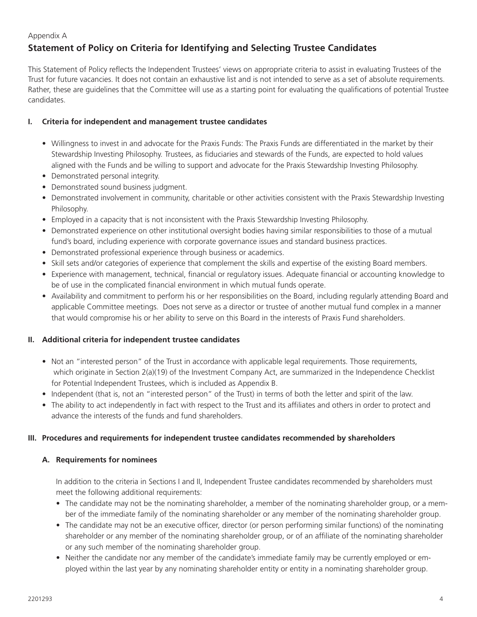#### Appendix A

# **Statement of Policy on Criteria for Identifying and Selecting Trustee Candidates**

This Statement of Policy reflects the Independent Trustees' views on appropriate criteria to assist in evaluating Trustees of the Trust for future vacancies. It does not contain an exhaustive list and is not intended to serve as a set of absolute requirements. Rather, these are guidelines that the Committee will use as a starting point for evaluating the qualifications of potential Trustee candidates.

## **I. Criteria for independent and management trustee candidates**

- Willingness to invest in and advocate for the Praxis Funds: The Praxis Funds are differentiated in the market by their Stewardship Investing Philosophy. Trustees, as fiduciaries and stewards of the Funds, are expected to hold values aligned with the Funds and be willing to support and advocate for the Praxis Stewardship Investing Philosophy.
- Demonstrated personal integrity.
- Demonstrated sound business judgment.
- Demonstrated involvement in community, charitable or other activities consistent with the Praxis Stewardship Investing Philosophy.
- Employed in a capacity that is not inconsistent with the Praxis Stewardship Investing Philosophy.
- Demonstrated experience on other institutional oversight bodies having similar responsibilities to those of a mutual fund's board, including experience with corporate governance issues and standard business practices.
- Demonstrated professional experience through business or academics.
- Skill sets and/or categories of experience that complement the skills and expertise of the existing Board members.
- Experience with management, technical, financial or regulatory issues. Adequate financial or accounting knowledge to be of use in the complicated financial environment in which mutual funds operate.
- Availability and commitment to perform his or her responsibilities on the Board, including regularly attending Board and applicable Committee meetings. Does not serve as a director or trustee of another mutual fund complex in a manner that would compromise his or her ability to serve on this Board in the interests of Praxis Fund shareholders.

#### **II. Additional criteria for independent trustee candidates**

- Not an "interested person" of the Trust in accordance with applicable legal requirements. Those requirements, which originate in Section 2(a)(19) of the Investment Company Act, are summarized in the Independence Checklist for Potential Independent Trustees, which is included as Appendix B.
- Independent (that is, not an "interested person" of the Trust) in terms of both the letter and spirit of the law.
- The ability to act independently in fact with respect to the Trust and its affiliates and others in order to protect and advance the interests of the funds and fund shareholders.

#### **III. Procedures and requirements for independent trustee candidates recommended by shareholders**

#### **A. Requirements for nominees**

In addition to the criteria in Sections I and II, Independent Trustee candidates recommended by shareholders must meet the following additional requirements:

- The candidate may not be the nominating shareholder, a member of the nominating shareholder group, or a member of the immediate family of the nominating shareholder or any member of the nominating shareholder group.
- The candidate may not be an executive officer, director (or person performing similar functions) of the nominating shareholder or any member of the nominating shareholder group, or of an affiliate of the nominating shareholder or any such member of the nominating shareholder group.
- Neither the candidate nor any member of the candidate's immediate family may be currently employed or employed within the last year by any nominating shareholder entity or entity in a nominating shareholder group.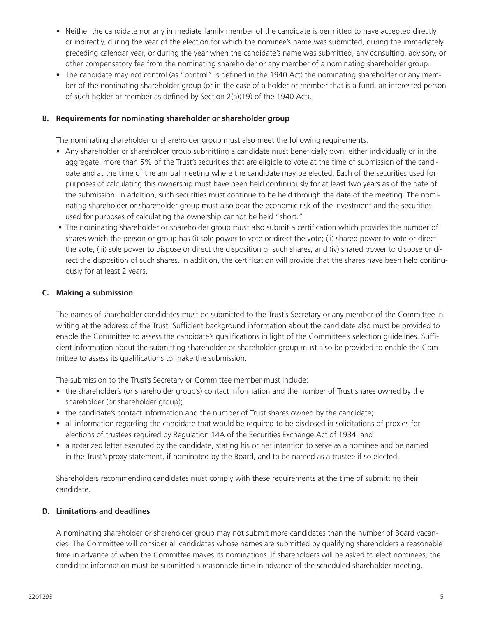- Neither the candidate nor any immediate family member of the candidate is permitted to have accepted directly or indirectly, during the year of the election for which the nominee's name was submitted, during the immediately preceding calendar year, or during the year when the candidate's name was submitted, any consulting, advisory, or other compensatory fee from the nominating shareholder or any member of a nominating shareholder group.
- The candidate may not control (as "control" is defined in the 1940 Act) the nominating shareholder or any member of the nominating shareholder group (or in the case of a holder or member that is a fund, an interested person of such holder or member as defined by Section 2(a)(19) of the 1940 Act).

#### **B. Requirements for nominating shareholder or shareholder group**

The nominating shareholder or shareholder group must also meet the following requirements:

- Any shareholder or shareholder group submitting a candidate must beneficially own, either individually or in the aggregate, more than 5% of the Trust's securities that are eligible to vote at the time of submission of the candidate and at the time of the annual meeting where the candidate may be elected. Each of the securities used for purposes of calculating this ownership must have been held continuously for at least two years as of the date of the submission. In addition, such securities must continue to be held through the date of the meeting. The nominating shareholder or shareholder group must also bear the economic risk of the investment and the securities used for purposes of calculating the ownership cannot be held "short."
- The nominating shareholder or shareholder group must also submit a certification which provides the number of shares which the person or group has (i) sole power to vote or direct the vote; (ii) shared power to vote or direct the vote; (iii) sole power to dispose or direct the disposition of such shares; and (iv) shared power to dispose or direct the disposition of such shares. In addition, the certification will provide that the shares have been held continuously for at least 2 years.

#### **C. Making a submission**

The names of shareholder candidates must be submitted to the Trust's Secretary or any member of the Committee in writing at the address of the Trust. Sufficient background information about the candidate also must be provided to enable the Committee to assess the candidate's qualifications in light of the Committee's selection guidelines. Sufficient information about the submitting shareholder or shareholder group must also be provided to enable the Committee to assess its qualifications to make the submission.

The submission to the Trust's Secretary or Committee member must include:

- the shareholder's (or shareholder group's) contact information and the number of Trust shares owned by the shareholder (or shareholder group);
- the candidate's contact information and the number of Trust shares owned by the candidate;
- all information regarding the candidate that would be required to be disclosed in solicitations of proxies for elections of trustees required by Regulation 14A of the Securities Exchange Act of 1934; and
- a notarized letter executed by the candidate, stating his or her intention to serve as a nominee and be named in the Trust's proxy statement, if nominated by the Board, and to be named as a trustee if so elected.

Shareholders recommending candidates must comply with these requirements at the time of submitting their candidate.

#### **D. Limitations and deadlines**

A nominating shareholder or shareholder group may not submit more candidates than the number of Board vacancies. The Committee will consider all candidates whose names are submitted by qualifying shareholders a reasonable time in advance of when the Committee makes its nominations. If shareholders will be asked to elect nominees, the candidate information must be submitted a reasonable time in advance of the scheduled shareholder meeting.